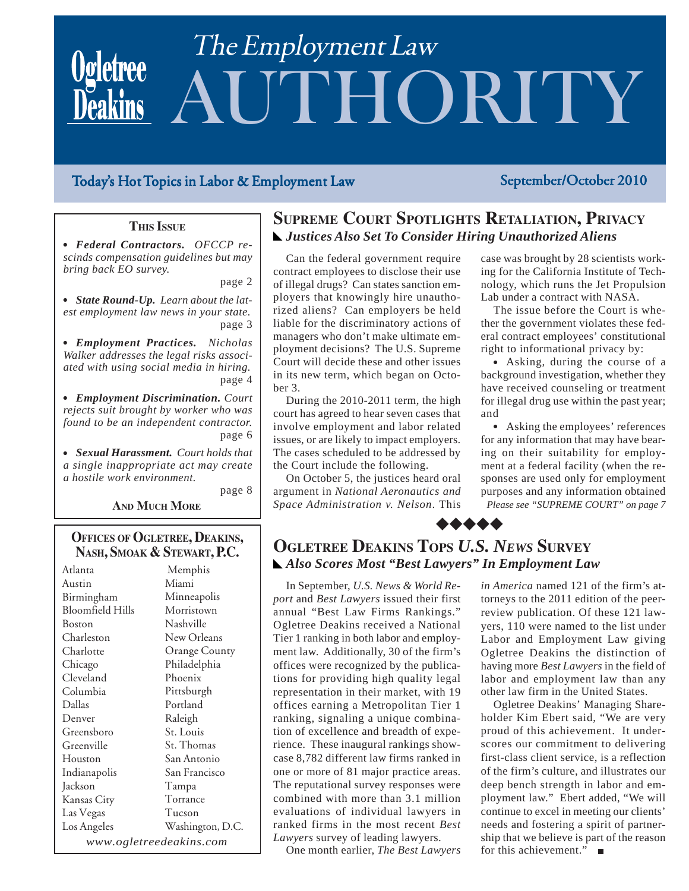# AUTHORITY The Employment Law

# Today's Hot Topics in Labor & Employment Law September/October 2010

### **THIS ISSUE**

• Federal Contractors. *OFCCP rescinds compensation guidelines but may bring back EO survey.*

page 2

page 8

• State Round-Up. Learn about the lat*est employment law news in your state.* page 3

**• Employment Practices.** Nicholas *Walker addresses the legal risks associated with using social media in hiring.* page 4

<sup>O</sup> *Employment Discrimination. Court rejects suit brought by worker who was found to be an independent contractor.* page 6

• Sexual Harassment. Court holds that *a single inappropriate act may create a hostile work environment.*

**AND MUCH MORE** 

### **OFFICES OF OGLETREE, DEAKINS, NASH, SMOAK & STEWART, P.C.**

Atlanta Austin Birmingham Bloomfield Hills Boston Charleston Charlotte Chicago Cleveland Columbia Dallas Denver Greensboro Greenville Houston Indianapolis Jackson Kansas City Las Vegas Los Angeles Memphis Miami Minneapolis Morristown Nashville New Orleans Orange County Philadelphia Phoenix Pittsburgh Portland Raleigh St. Louis St. Thomas San Antonio San Francisco Tampa Torrance Tucson Washington, D.C. *www.ogletreedeakins.com*

# **SUPREME COURT SPOTLIGHTS RETALIATION, PRIVACY** *Justices Also Set To Consider Hiring Unauthorized Aliens*

Can the federal government require contract employees to disclose their use of illegal drugs? Can states sanction employers that knowingly hire unauthorized aliens? Can employers be held liable for the discriminatory actions of managers who don't make ultimate employment decisions? The U.S. Supreme Court will decide these and other issues in its new term, which began on October 3.

During the 2010-2011 term, the high court has agreed to hear seven cases that involve employment and labor related issues, or are likely to impact employers. The cases scheduled to be addressed by the Court include the following.

On October 5, the justices heard oral argument in *National Aeronautics and Space Administration v. Nelson*. This case was brought by 28 scientists working for the California Institute of Technology, which runs the Jet Propulsion Lab under a contract with NASA.

The issue before the Court is whether the government violates these federal contract employees' constitutional right to informational privacy by:

• Asking, during the course of a background investigation, whether they have received counseling or treatment for illegal drug use within the past year; and

*Please see "SUPREME COURT" on page 7* • Asking the employees' references for any information that may have bearing on their suitability for employment at a federal facility (when the responses are used only for employment purposes and any information obtained

# **OGLETREE DEAKINS TOPS** *U.S. NEWS* **SURVEY** *Also Scores Most "Best Lawyers" In Employment Law*

 $\bullet\hspace{-0.7mm}\bullet\hspace{-0.7mm}\bullet\hspace{-0.7mm}\bullet\hspace{-0.7mm}\bullet$ 

In September, *U.S. News & World Report* and *Best Lawyers* issued their first annual "Best Law Firms Rankings." Ogletree Deakins received a National Tier 1 ranking in both labor and employment law. Additionally, 30 of the firm's offices were recognized by the publications for providing high quality legal representation in their market, with 19 offices earning a Metropolitan Tier 1 ranking, signaling a unique combination of excellence and breadth of experience. These inaugural rankings showcase 8,782 different law firms ranked in one or more of 81 major practice areas. The reputational survey responses were combined with more than 3.1 million evaluations of individual lawyers in ranked firms in the most recent *Best Lawyers* survey of leading lawyers.

One month earlier, *The Best Lawyers*

*in America* named 121 of the firm's attorneys to the 2011 edition of the peerreview publication. Of these 121 lawyers, 110 were named to the list under Labor and Employment Law giving Ogletree Deakins the distinction of having more *Best Lawyers* in the field of labor and employment law than any other law firm in the United States.

Ogletree Deakins' Managing Shareholder Kim Ebert said, "We are very proud of this achievement. It underscores our commitment to delivering first-class client service, is a reflection of the firm's culture, and illustrates our deep bench strength in labor and employment law." Ebert added, "We will continue to excel in meeting our clients' needs and fostering a spirit of partnership that we believe is part of the reason for this achievement."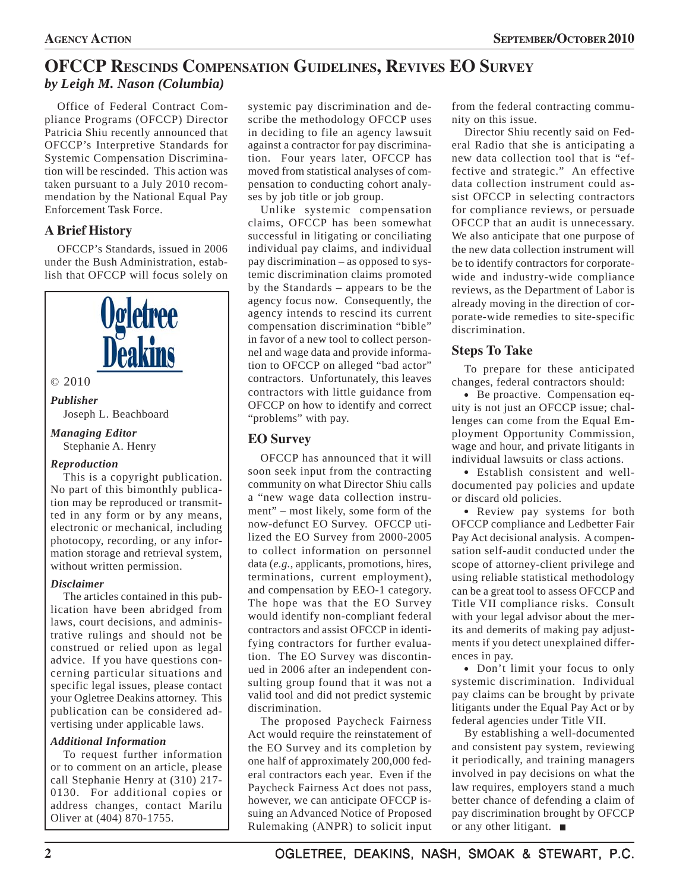# **OFCCP RESCINDS COMPENSATION GUIDELINES, REVIVES EO SURVEY** *by Leigh M. Nason (Columbia)*

Office of Federal Contract Compliance Programs (OFCCP) Director Patricia Shiu recently announced that OFCCP's Interpretive Standards for Systemic Compensation Discrimination will be rescinded. This action was taken pursuant to a July 2010 recommendation by the National Equal Pay Enforcement Task Force.

# **A Brief History**

OFCCP's Standards, issued in 2006 under the Bush Administration, establish that OFCCP will focus solely on



trative rulings and should not be construed or relied upon as legal advice. If you have questions concerning particular situations and specific legal issues, please contact your Ogletree Deakins attorney. This publication can be considered advertising under applicable laws.

### *Additional Information*

To request further information or to comment on an article, please call Stephanie Henry at (310) 217- 0130. For additional copies or address changes, contact Marilu Oliver at (404) 870-1755.

systemic pay discrimination and describe the methodology OFCCP uses in deciding to file an agency lawsuit against a contractor for pay discrimination. Four years later, OFCCP has moved from statistical analyses of compensation to conducting cohort analyses by job title or job group.

Unlike systemic compensation claims, OFCCP has been somewhat successful in litigating or conciliating individual pay claims, and individual pay discrimination – as opposed to systemic discrimination claims promoted by the Standards – appears to be the agency focus now. Consequently, the agency intends to rescind its current compensation discrimination "bible" in favor of a new tool to collect personnel and wage data and provide information to OFCCP on alleged "bad actor" contractors. Unfortunately, this leaves contractors with little guidance from OFCCP on how to identify and correct "problems" with pay.

# **EO Survey**

OFCCP has announced that it will soon seek input from the contracting community on what Director Shiu calls a "new wage data collection instrument" – most likely, some form of the now-defunct EO Survey. OFCCP utilized the EO Survey from 2000-2005 to collect information on personnel data (*e.g.*, applicants, promotions, hires, terminations, current employment), and compensation by EEO-1 category. The hope was that the EO Survey would identify non-compliant federal contractors and assist OFCCP in identifying contractors for further evaluation. The EO Survey was discontinued in 2006 after an independent consulting group found that it was not a valid tool and did not predict systemic discrimination.

The proposed Paycheck Fairness Act would require the reinstatement of the EO Survey and its completion by one half of approximately 200,000 federal contractors each year. Even if the Paycheck Fairness Act does not pass, however, we can anticipate OFCCP issuing an Advanced Notice of Proposed Rulemaking (ANPR) to solicit input

from the federal contracting community on this issue.

Director Shiu recently said on Federal Radio that she is anticipating a new data collection tool that is "effective and strategic." An effective data collection instrument could assist OFCCP in selecting contractors for compliance reviews, or persuade OFCCP that an audit is unnecessary. We also anticipate that one purpose of the new data collection instrument will be to identify contractors for corporatewide and industry-wide compliance reviews, as the Department of Labor is already moving in the direction of corporate-wide remedies to site-specific discrimination.

# **Steps To Take**

To prepare for these anticipated changes, federal contractors should:

• Be proactive. Compensation equity is not just an OFCCP issue; challenges can come from the Equal Employment Opportunity Commission, wage and hour, and private litigants in individual lawsuits or class actions.

• Establish consistent and welldocumented pay policies and update or discard old policies.

• Review pay systems for both OFCCP compliance and Ledbetter Fair Pay Act decisional analysis. A compensation self-audit conducted under the scope of attorney-client privilege and using reliable statistical methodology can be a great tool to assess OFCCP and Title VII compliance risks. Consult with your legal advisor about the merits and demerits of making pay adjustments if you detect unexplained differences in pay.

• Don't limit your focus to only systemic discrimination. Individual pay claims can be brought by private litigants under the Equal Pay Act or by federal agencies under Title VII.

By establishing a well-documented and consistent pay system, reviewing it periodically, and training managers involved in pay decisions on what the law requires, employers stand a much better chance of defending a claim of pay discrimination brought by OFCCP or any other litigant.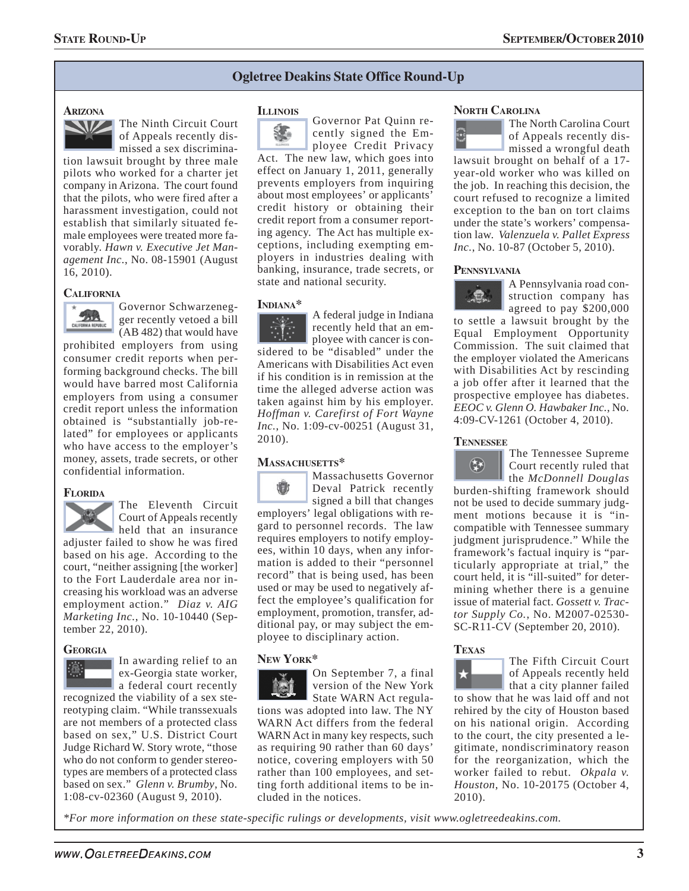#### **Ogletree Deakins State Office Round-Up**

#### **ARIZONA**



tion lawsuit brought by three male pilots who worked for a charter jet company in Arizona. The court found that the pilots, who were fired after a harassment investigation, could not establish that similarly situated female employees were treated more favorably. *Hawn v. Executive Jet Management Inc.*, No. 08-15901 (August 16, 2010).

#### **CALIFORNIA**



Governor Schwarzenegger recently vetoed a bill (AB 482) that would have

prohibited employers from using consumer credit reports when performing background checks. The bill would have barred most California employers from using a consumer credit report unless the information obtained is "substantially job-related" for employees or applicants who have access to the employer's money, assets, trade secrets, or other confidential information.

#### **FLORIDA**



The Eleventh Circuit Court of Appeals recently held that an insurance

adjuster failed to show he was fired based on his age. According to the court, "neither assigning [the worker] to the Fort Lauderdale area nor increasing his workload was an adverse employment action." *Diaz v. AIG Marketing Inc.*, No. 10-10440 (September 22, 2010).

#### **GEORGIA**

In awarding relief to an ex-Georgia state worker, **a** federal court recently recognized the viability of a sex stereotyping claim. "While transsexuals are not members of a protected class based on sex," U.S. District Court Judge Richard W. Story wrote, "those who do not conform to gender stereotypes are members of a protected class

based on sex." *Glenn v. Brumby*, No. 1:08-cv-02360 (August 9, 2010).

#### **ILLINOIS**



Governor Pat Quinn recently signed the Employee Credit Privacy

Act. The new law, which goes into effect on January 1, 2011, generally prevents employers from inquiring about most employees' or applicants' credit history or obtaining their credit report from a consumer reporting agency. The Act has multiple exceptions, including exempting employers in industries dealing with banking, insurance, trade secrets, or state and national security.

#### **INDIANA\***

A federal judge in Indiana recently held that an employee with cancer is con-

sidered to be "disabled" under the Americans with Disabilities Act even if his condition is in remission at the time the alleged adverse action was taken against him by his employer. *Hoffman v. Carefirst of Fort Wayne Inc.*, No. 1:09-cv-00251 (August 31, 2010).

Massachusetts Governor 衢 Deval Patrick recently signed a bill that changes employers' legal obligations with regard to personnel records. The law requires employers to notify employees, within 10 days, when any information is added to their "personnel record" that is being used, has been used or may be used to negatively affect the employee's qualification for employment, promotion, transfer, additional pay, or may subject the employee to disciplinary action.

#### **NEW YORK\***



On September 7, a final version of the New York State WARN Act regula-

tions was adopted into law. The NY WARN Act differs from the federal WARN Act in many key respects, such as requiring 90 rather than 60 days' notice, covering employers with 50 rather than 100 employees, and setting forth additional items to be included in the notices.

#### **NORTH CAROLINA**



The North Carolina Court of Appeals recently dismissed a wrongful death

lawsuit brought on behalf of a 17 year-old worker who was killed on the job. In reaching this decision, the court refused to recognize a limited exception to the ban on tort claims under the state's workers' compensation law. *Valenzuela v. Pallet Express Inc.*, No. 10-87 (October 5, 2010).

#### **PENNSYLVANIA**



A Pennsylvania road construction company has agreed to pay \$200,000

to settle a lawsuit brought by the Equal Employment Opportunity Commission. The suit claimed that the employer violated the Americans with Disabilities Act by rescinding a job offer after it learned that the prospective employee has diabetes. *EEOC v. Glenn O. Hawbaker Inc.*, No. 4:09-CV-1261 (October 4, 2010).

#### **TENNESSEE**



**MASSACHUSETTS\*** The Tennessee Supreme<br> **The Tennessee Supreme** Court recently ruled that Court recently ruled that the *McDonnell Douglas*

> burden-shifting framework should not be used to decide summary judgment motions because it is "incompatible with Tennessee summary judgment jurisprudence." While the framework's factual inquiry is "particularly appropriate at trial," the court held, it is "ill-suited" for determining whether there is a genuine issue of material fact. *Gossett v. Tractor Supply Co.*, No. M2007-02530- SC-R11-CV (September 20, 2010).

#### **TEXAS**



The Fifth Circuit Court of Appeals recently held that a city planner failed

to show that he was laid off and not rehired by the city of Houston based on his national origin. According to the court, the city presented a legitimate, nondiscriminatory reason for the reorganization, which the worker failed to rebut. *Okpala v. Houston*, No. 10-20175 (October 4, 2010).

*\*For more information on these state-specific rulings or developments, visit www.ogletreedeakins.com.*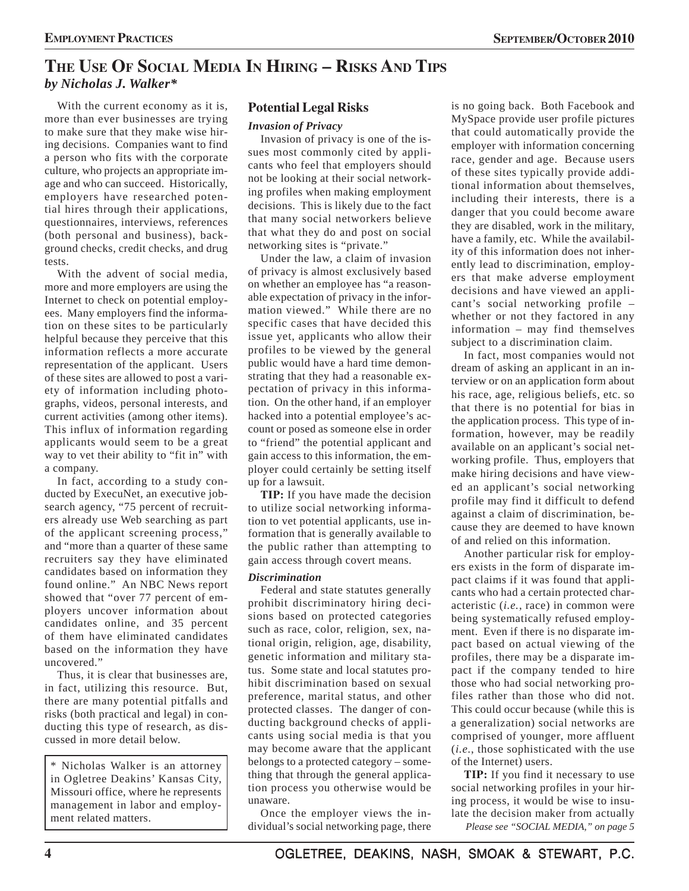# **THE USE OF SOCIAL MEDIA IN HIRING – RISKS AND TIPS** *by Nicholas J. Walker\**

With the current economy as it is, more than ever businesses are trying to make sure that they make wise hiring decisions. Companies want to find a person who fits with the corporate culture, who projects an appropriate image and who can succeed. Historically, employers have researched potential hires through their applications, questionnaires, interviews, references (both personal and business), background checks, credit checks, and drug tests.

With the advent of social media, more and more employers are using the Internet to check on potential employees. Many employers find the information on these sites to be particularly helpful because they perceive that this information reflects a more accurate representation of the applicant. Users of these sites are allowed to post a variety of information including photographs, videos, personal interests, and current activities (among other items). This influx of information regarding applicants would seem to be a great way to vet their ability to "fit in" with a company.

In fact, according to a study conducted by ExecuNet, an executive jobsearch agency, "75 percent of recruiters already use Web searching as part of the applicant screening process," and "more than a quarter of these same recruiters say they have eliminated candidates based on information they found online." An NBC News report showed that "over 77 percent of employers uncover information about candidates online, and 35 percent of them have eliminated candidates based on the information they have uncovered."

Thus, it is clear that businesses are, in fact, utilizing this resource. But, there are many potential pitfalls and risks (both practical and legal) in conducting this type of research, as discussed in more detail below.

\* Nicholas Walker is an attorney in Ogletree Deakins' Kansas City, Missouri office, where he represents management in labor and employment related matters.

### **Potential Legal Risks**

#### *Invasion of Privacy*

Invasion of privacy is one of the issues most commonly cited by applicants who feel that employers should not be looking at their social networking profiles when making employment decisions. This is likely due to the fact that many social networkers believe that what they do and post on social networking sites is "private."

Under the law, a claim of invasion of privacy is almost exclusively based on whether an employee has "a reasonable expectation of privacy in the information viewed." While there are no specific cases that have decided this issue yet, applicants who allow their profiles to be viewed by the general public would have a hard time demonstrating that they had a reasonable expectation of privacy in this information. On the other hand, if an employer hacked into a potential employee's account or posed as someone else in order to "friend" the potential applicant and gain access to this information, the employer could certainly be setting itself up for a lawsuit.

**TIP:** If you have made the decision to utilize social networking information to vet potential applicants, use information that is generally available to the public rather than attempting to gain access through covert means.

#### *Discrimination*

Federal and state statutes generally prohibit discriminatory hiring decisions based on protected categories such as race, color, religion, sex, national origin, religion, age, disability, genetic information and military status. Some state and local statutes prohibit discrimination based on sexual preference, marital status, and other protected classes. The danger of conducting background checks of applicants using social media is that you may become aware that the applicant belongs to a protected category – something that through the general application process you otherwise would be unaware.

Once the employer views the individual's social networking page, there

is no going back. Both Facebook and MySpace provide user profile pictures that could automatically provide the employer with information concerning race, gender and age. Because users of these sites typically provide additional information about themselves, including their interests, there is a danger that you could become aware they are disabled, work in the military, have a family, etc. While the availability of this information does not inherently lead to discrimination, employers that make adverse employment decisions and have viewed an applicant's social networking profile – whether or not they factored in any information – may find themselves subject to a discrimination claim.

In fact, most companies would not dream of asking an applicant in an interview or on an application form about his race, age, religious beliefs, etc. so that there is no potential for bias in the application process. This type of information, however, may be readily available on an applicant's social networking profile. Thus, employers that make hiring decisions and have viewed an applicant's social networking profile may find it difficult to defend against a claim of discrimination, because they are deemed to have known of and relied on this information.

Another particular risk for employers exists in the form of disparate impact claims if it was found that applicants who had a certain protected characteristic (*i.e.*, race) in common were being systematically refused employment. Even if there is no disparate impact based on actual viewing of the profiles, there may be a disparate impact if the company tended to hire those who had social networking profiles rather than those who did not. This could occur because (while this is a generalization) social networks are comprised of younger, more affluent (*i.e.*, those sophisticated with the use of the Internet) users.

**TIP:** If you find it necessary to use social networking profiles in your hiring process, it would be wise to insulate the decision maker from actually *Please see "SOCIAL MEDIA," on page 5*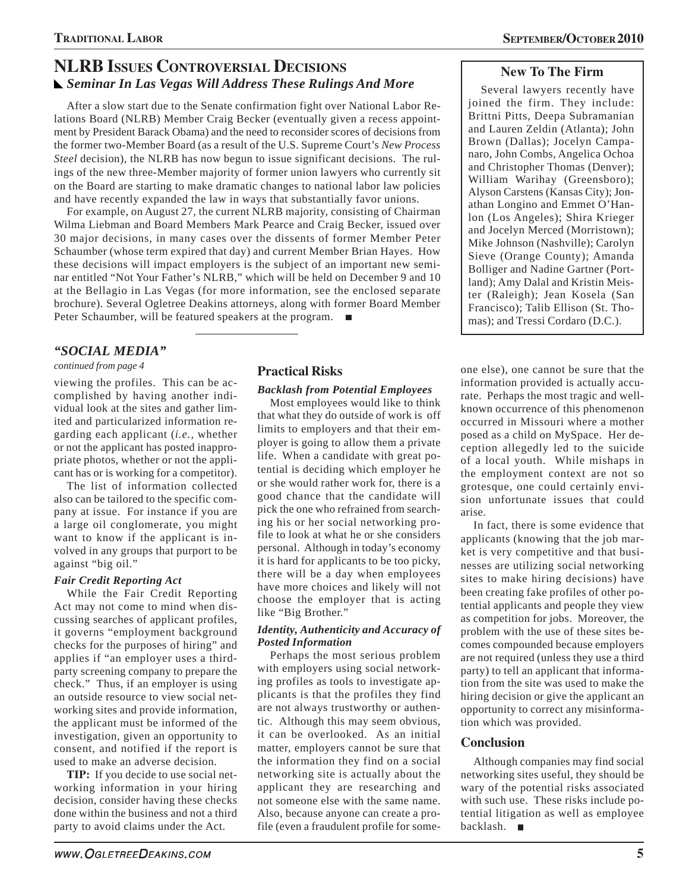# **NLRB ISSUES CONTROVERSIAL DECISIONS** *Seminar In Las Vegas Will Address These Rulings And More*

After a slow start due to the Senate confirmation fight over National Labor Relations Board (NLRB) Member Craig Becker (eventually given a recess appointment by President Barack Obama) and the need to reconsider scores of decisions from the former two-Member Board (as a result of the U.S. Supreme Court's *New Process Steel* decision), the NLRB has now begun to issue significant decisions. The rulings of the new three-Member majority of former union lawyers who currently sit on the Board are starting to make dramatic changes to national labor law policies and have recently expanded the law in ways that substantially favor unions.

For example, on August 27, the current NLRB majority, consisting of Chairman Wilma Liebman and Board Members Mark Pearce and Craig Becker, issued over 30 major decisions, in many cases over the dissents of former Member Peter Schaumber (whose term expired that day) and current Member Brian Hayes. How these decisions will impact employers is the subject of an important new seminar entitled "Not Your Father's NLRB," which will be held on December 9 and 10 at the Bellagio in Las Vegas (for more information, see the enclosed separate brochure). Several Ogletree Deakins attorneys, along with former Board Member Peter Schaumber, will be featured speakers at the program.

# *"SOCIAL MEDIA"*

*continued from page 4*

viewing the profiles. This can be accomplished by having another individual look at the sites and gather limited and particularized information regarding each applicant (*i.e.*, whether or not the applicant has posted inappropriate photos, whether or not the applicant has or is working for a competitor).

The list of information collected also can be tailored to the specific company at issue. For instance if you are a large oil conglomerate, you might want to know if the applicant is involved in any groups that purport to be against "big oil."

### *Fair Credit Reporting Act*

While the Fair Credit Reporting Act may not come to mind when discussing searches of applicant profiles, it governs "employment background checks for the purposes of hiring" and applies if "an employer uses a thirdparty screening company to prepare the check." Thus, if an employer is using an outside resource to view social networking sites and provide information, the applicant must be informed of the investigation, given an opportunity to consent, and notified if the report is used to make an adverse decision.

**TIP:** If you decide to use social networking information in your hiring decision, consider having these checks done within the business and not a third party to avoid claims under the Act.

# **Practical Risks**

#### *Backlash from Potential Employees*

Most employees would like to think that what they do outside of work is off limits to employers and that their employer is going to allow them a private life. When a candidate with great potential is deciding which employer he or she would rather work for, there is a good chance that the candidate will pick the one who refrained from searching his or her social networking profile to look at what he or she considers personal. Although in today's economy it is hard for applicants to be too picky, there will be a day when employees have more choices and likely will not choose the employer that is acting like "Big Brother."

#### *Identity, Authenticity and Accuracy of Posted Information*

Perhaps the most serious problem with employers using social networking profiles as tools to investigate applicants is that the profiles they find are not always trustworthy or authentic. Although this may seem obvious, it can be overlooked. As an initial matter, employers cannot be sure that the information they find on a social networking site is actually about the applicant they are researching and not someone else with the same name. Also, because anyone can create a profile (even a fraudulent profile for some-

# **New To The Firm**

Several lawyers recently have joined the firm. They include: Brittni Pitts, Deepa Subramanian and Lauren Zeldin (Atlanta); John Brown (Dallas); Jocelyn Campanaro, John Combs, Angelica Ochoa and Christopher Thomas (Denver); William Warihay (Greensboro); Alyson Carstens (Kansas City); Jonathan Longino and Emmet O'Hanlon (Los Angeles); Shira Krieger and Jocelyn Merced (Morristown); Mike Johnson (Nashville); Carolyn Sieve (Orange County); Amanda Bolliger and Nadine Gartner (Portland); Amy Dalal and Kristin Meister (Raleigh); Jean Kosela (San Francisco); Talib Ellison (St. Thomas); and Tressi Cordaro (D.C.).

one else), one cannot be sure that the information provided is actually accurate. Perhaps the most tragic and wellknown occurrence of this phenomenon occurred in Missouri where a mother posed as a child on MySpace. Her deception allegedly led to the suicide of a local youth. While mishaps in the employment context are not so grotesque, one could certainly envision unfortunate issues that could arise.

In fact, there is some evidence that applicants (knowing that the job market is very competitive and that businesses are utilizing social networking sites to make hiring decisions) have been creating fake profiles of other potential applicants and people they view as competition for jobs. Moreover, the problem with the use of these sites becomes compounded because employers are not required (unless they use a third party) to tell an applicant that information from the site was used to make the hiring decision or give the applicant an opportunity to correct any misinformation which was provided.

# **Conclusion**

Although companies may find social networking sites useful, they should be wary of the potential risks associated with such use. These risks include potential litigation as well as employee backlash.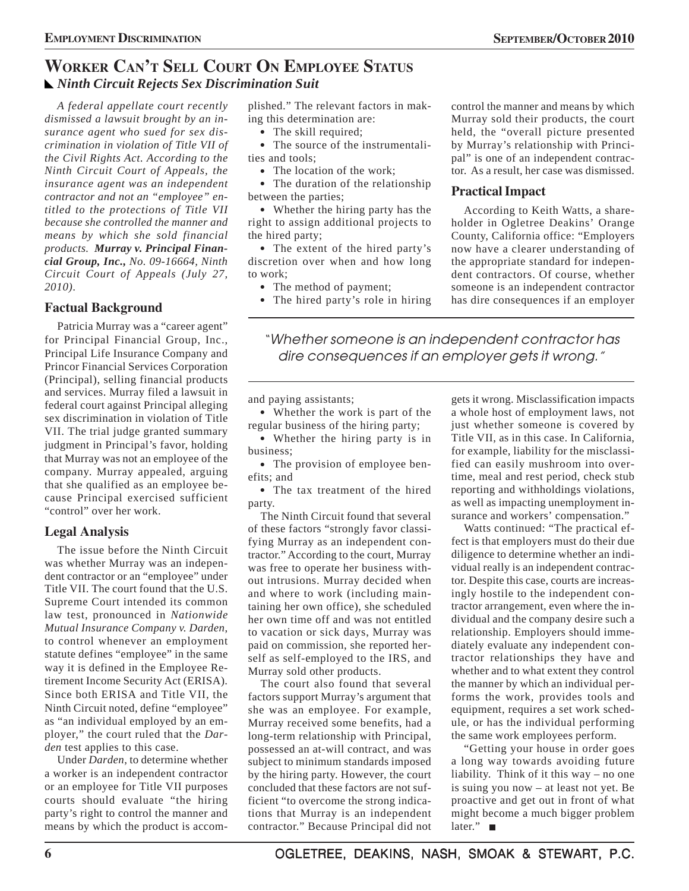# **WORKER CAN'T SELL COURT ON EMPLOYEE STATUS** *Ninth Circuit Rejects Sex Discrimination Suit*

*A federal appellate court recently dismissed a lawsuit brought by an insurance agent who sued for sex discrimination in violation of Title VII of the Civil Rights Act. According to the Ninth Circuit Court of Appeals, the insurance agent was an independent contractor and not an "employee" entitled to the protections of Title VII because she controlled the manner and means by which she sold financial products. Murray v. Principal Financial Group, Inc., No. 09-16664, Ninth Circuit Court of Appeals (July 27, 2010).*

# **Factual Background**

Patricia Murray was a "career agent" for Principal Financial Group, Inc., Principal Life Insurance Company and Princor Financial Services Corporation (Principal), selling financial products and services. Murray filed a lawsuit in federal court against Principal alleging sex discrimination in violation of Title VII. The trial judge granted summary judgment in Principal's favor, holding that Murray was not an employee of the company. Murray appealed, arguing that she qualified as an employee because Principal exercised sufficient "control" over her work.

# **Legal Analysis**

The issue before the Ninth Circuit was whether Murray was an independent contractor or an "employee" under Title VII. The court found that the U.S. Supreme Court intended its common law test, pronounced in *Nationwide Mutual Insurance Company v. Darden*, to control whenever an employment statute defines "employee" in the same way it is defined in the Employee Retirement Income Security Act (ERISA). Since both ERISA and Title VII, the Ninth Circuit noted, define "employee" as "an individual employed by an employer," the court ruled that the *Darden* test applies to this case.

Under *Darden*, to determine whether a worker is an independent contractor or an employee for Title VII purposes courts should evaluate "the hiring party's right to control the manner and means by which the product is accomplished." The relevant factors in making this determination are:

• The skill required;

• The source of the instrumentalities and tools;

• The location of the work;

• The duration of the relationship between the parties;

• Whether the hiring party has the right to assign additional projects to the hired party;

• The extent of the hired party's discretion over when and how long to work;

• The method of payment;

• The hired party's role in hiring

control the manner and means by which Murray sold their products, the court held, the "overall picture presented by Murray's relationship with Principal" is one of an independent contractor. As a result, her case was dismissed.

## **Practical Impact**

According to Keith Watts, a shareholder in Ogletree Deakins' Orange County, California office: "Employers now have a clearer understanding of the appropriate standard for independent contractors. Of course, whether someone is an independent contractor has dire consequences if an employer

"Whether someone is an independent contractor has dire consequences if an employer gets it wrong."

and paying assistants;

• Whether the work is part of the regular business of the hiring party;

• Whether the hiring party is in business;

• The provision of employee benefits; and

• The tax treatment of the hired party.

The Ninth Circuit found that several of these factors "strongly favor classifying Murray as an independent contractor." According to the court, Murray was free to operate her business without intrusions. Murray decided when and where to work (including maintaining her own office), she scheduled her own time off and was not entitled to vacation or sick days, Murray was paid on commission, she reported herself as self-employed to the IRS, and Murray sold other products.

The court also found that several factors support Murray's argument that she was an employee. For example, Murray received some benefits, had a long-term relationship with Principal, possessed an at-will contract, and was subject to minimum standards imposed by the hiring party. However, the court concluded that these factors are not sufficient "to overcome the strong indications that Murray is an independent contractor." Because Principal did not

gets it wrong. Misclassification impacts a whole host of employment laws, not just whether someone is covered by Title VII, as in this case. In California, for example, liability for the misclassified can easily mushroom into overtime, meal and rest period, check stub reporting and withholdings violations, as well as impacting unemployment insurance and workers' compensation."

Watts continued: "The practical effect is that employers must do their due diligence to determine whether an individual really is an independent contractor. Despite this case, courts are increasingly hostile to the independent contractor arrangement, even where the individual and the company desire such a relationship. Employers should immediately evaluate any independent contractor relationships they have and whether and to what extent they control the manner by which an individual performs the work, provides tools and equipment, requires a set work schedule, or has the individual performing the same work employees perform.

"Getting your house in order goes a long way towards avoiding future liability. Think of it this way – no one is suing you now – at least not yet. Be proactive and get out in front of what might become a much bigger problem later." ■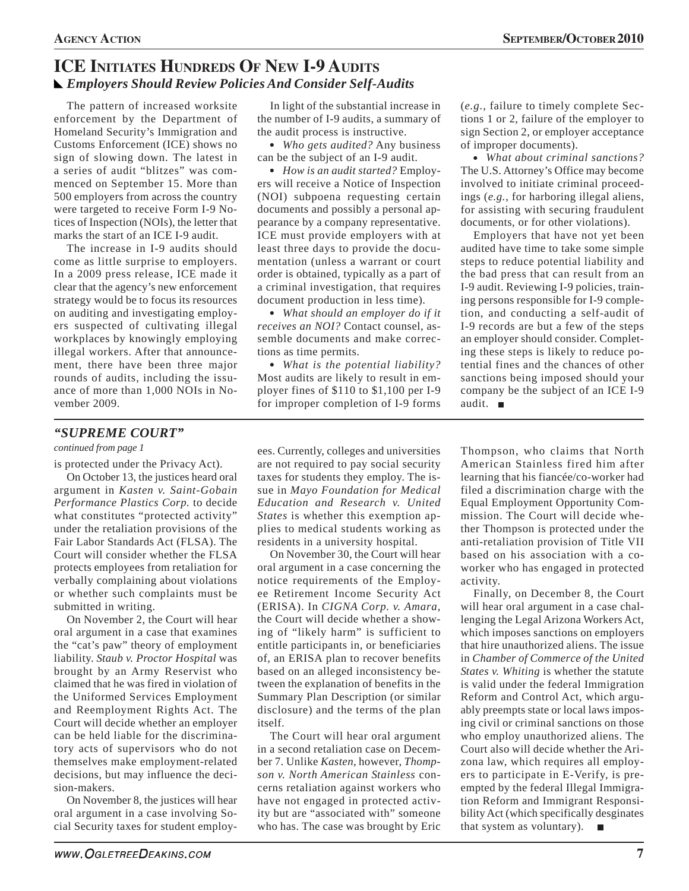# **ICE INITIATES HUNDREDS OF NEW I-9 AUDITS** *Employers Should Review Policies And Consider Self-Audits*

The pattern of increased worksite enforcement by the Department of Homeland Security's Immigration and Customs Enforcement (ICE) shows no sign of slowing down. The latest in a series of audit "blitzes" was commenced on September 15. More than 500 employers from across the country were targeted to receive Form I-9 Notices of Inspection (NOIs), the letter that marks the start of an ICE I-9 audit.

The increase in I-9 audits should come as little surprise to employers. In a 2009 press release, ICE made it clear that the agency's new enforcement strategy would be to focus its resources on auditing and investigating employers suspected of cultivating illegal workplaces by knowingly employing illegal workers. After that announcement, there have been three major rounds of audits, including the issuance of more than 1,000 NOIs in November 2009.

In light of the substantial increase in the number of I-9 audits, a summary of the audit process is instructive.

• Who gets audited? Any business can be the subject of an I-9 audit.

• How is an audit started? Employers will receive a Notice of Inspection (NOI) subpoena requesting certain documents and possibly a personal appearance by a company representative. ICE must provide employers with at least three days to provide the documentation (unless a warrant or court order is obtained, typically as a part of a criminal investigation, that requires document production in less time).

• What should an employer do if it *receives an NOI?* Contact counsel, assemble documents and make corrections as time permits.

• What is the potential liability? Most audits are likely to result in employer fines of \$110 to \$1,100 per I-9 for improper completion of I-9 forms

ees. Currently, colleges and universities are not required to pay social security taxes for students they employ. The issue in *Mayo Foundation for Medical Education and Research v. United States* is whether this exemption applies to medical students working as (*e.g.*, failure to timely complete Sections 1 or 2, failure of the employer to sign Section 2, or employer acceptance of improper documents).

• What about criminal sanctions? The U.S. Attorney's Office may become involved to initiate criminal proceedings (*e.g.*, for harboring illegal aliens, for assisting with securing fraudulent documents, or for other violations).

Employers that have not yet been audited have time to take some simple steps to reduce potential liability and the bad press that can result from an I-9 audit. Reviewing I-9 policies, training persons responsible for I-9 completion, and conducting a self-audit of I-9 records are but a few of the steps an employer should consider. Completing these steps is likely to reduce potential fines and the chances of other sanctions being imposed should your company be the subject of an ICE I-9 audit.

# *"SUPREME COURT"*

*continued from page 1*

is protected under the Privacy Act).

On October 13, the justices heard oral argument in *Kasten v. Saint-Gobain Performance Plastics Corp.* to decide what constitutes "protected activity" under the retaliation provisions of the Fair Labor Standards Act (FLSA). The Court will consider whether the FLSA protects employees from retaliation for verbally complaining about violations or whether such complaints must be submitted in writing.

On November 2, the Court will hear oral argument in a case that examines the "cat's paw" theory of employment liability. *Staub v. Proctor Hospital* was brought by an Army Reservist who claimed that he was fired in violation of the Uniformed Services Employment and Reemployment Rights Act. The Court will decide whether an employer can be held liable for the discriminatory acts of supervisors who do not themselves make employment-related decisions, but may influence the decision-makers.

On November 8, the justices will hear oral argument in a case involving Social Security taxes for student employ-

residents in a university hospital. On November 30, the Court will hear oral argument in a case concerning the notice requirements of the Employee Retirement Income Security Act (ERISA). In *CIGNA Corp. v. Amara*, the Court will decide whether a show-

ing of "likely harm" is sufficient to entitle participants in, or beneficiaries of, an ERISA plan to recover benefits based on an alleged inconsistency between the explanation of benefits in the Summary Plan Description (or similar disclosure) and the terms of the plan itself.

The Court will hear oral argument in a second retaliation case on December 7. Unlike *Kasten*, however, *Thompson v. North American Stainless* concerns retaliation against workers who have not engaged in protected activity but are "associated with" someone who has. The case was brought by Eric

Thompson, who claims that North American Stainless fired him after learning that his fiancée/co-worker had filed a discrimination charge with the Equal Employment Opportunity Commission. The Court will decide whether Thompson is protected under the anti-retaliation provision of Title VII based on his association with a coworker who has engaged in protected activity.

Finally, on December 8, the Court will hear oral argument in a case challenging the Legal Arizona Workers Act, which imposes sanctions on employers that hire unauthorized aliens. The issue in *Chamber of Commerce of the United States v. Whiting* is whether the statute is valid under the federal Immigration Reform and Control Act, which arguably preempts state or local laws imposing civil or criminal sanctions on those who employ unauthorized aliens. The Court also will decide whether the Arizona law, which requires all employers to participate in E-Verify, is preempted by the federal Illegal Immigration Reform and Immigrant Responsibility Act (which specifically desginates that system as voluntary).  $\blacksquare$